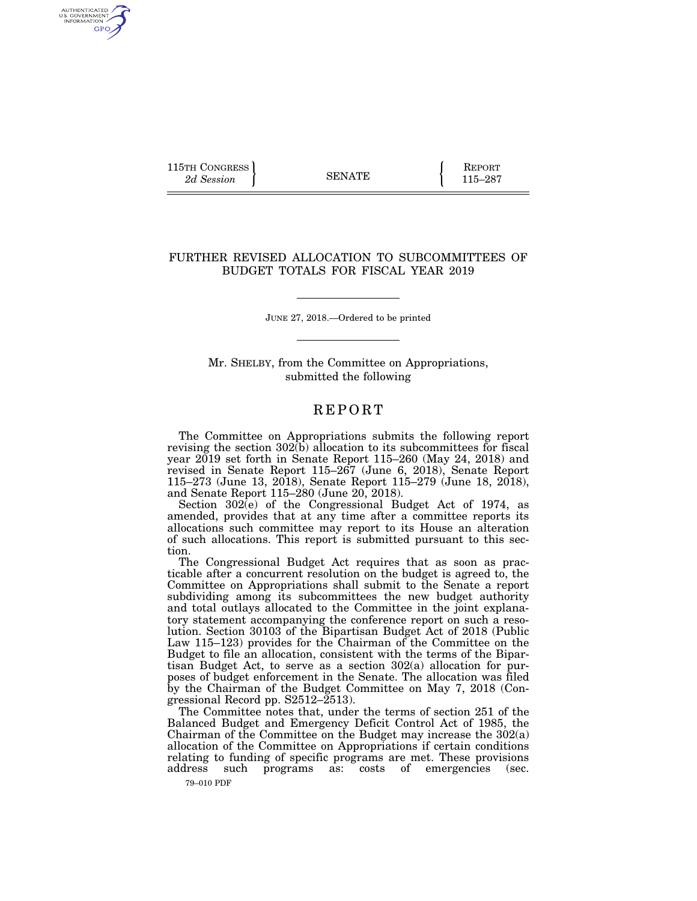115TH CONGRESS **REPORT** 2d Session **115–287** 

AUTHENTICATED<br>U.S. GOVERNMENT<br>INFORMATION GPO

## FURTHER REVISED ALLOCATION TO SUBCOMMITTEES OF BUDGET TOTALS FOR FISCAL YEAR 2019

JUNE 27, 2018.—Ordered to be printed

Mr. SHELBY, from the Committee on Appropriations, submitted the following

## **REPORT**

The Committee on Appropriations submits the following report revising the section  $302(b)$  allocation to its subcommittees for fiscal year 2019 set forth in Senate Report 115–260 (May 24, 2018) and revised in Senate Report 115–267 (June 6, 2018), Senate Report 115–273 (June 13, 2018), Senate Report 115–279 (June 18, 2018), and Senate Report 115–280 (June 20, 2018).

Section 302(e) of the Congressional Budget Act of 1974, as amended, provides that at any time after a committee reports its allocations such committee may report to its House an alteration of such allocations. This report is submitted pursuant to this section.

The Congressional Budget Act requires that as soon as practicable after a concurrent resolution on the budget is agreed to, the Committee on Appropriations shall submit to the Senate a report subdividing among its subcommittees the new budget authority and total outlays allocated to the Committee in the joint explanatory statement accompanying the conference report on such a resolution. Section 30103 of the Bipartisan Budget Act of 2018 (Public Law 115–123) provides for the Chairman of the Committee on the Budget to file an allocation, consistent with the terms of the Bipartisan Budget Act, to serve as a section 302(a) allocation for purposes of budget enforcement in the Senate. The allocation was filed by the Chairman of the Budget Committee on May 7, 2018 (Congressional Record pp.  $S2512-\tilde{2}513$ .

The Committee notes that, under the terms of section 251 of the Balanced Budget and Emergency Deficit Control Act of 1985, the Chairman of the Committee on the Budget may increase the 302(a) allocation of the Committee on Appropriations if certain conditions relating to funding of specific programs are met. These provisions address such programs as: costs of emergencies (sec. such programs as: costs of emergencies (sec.

79–010 PDF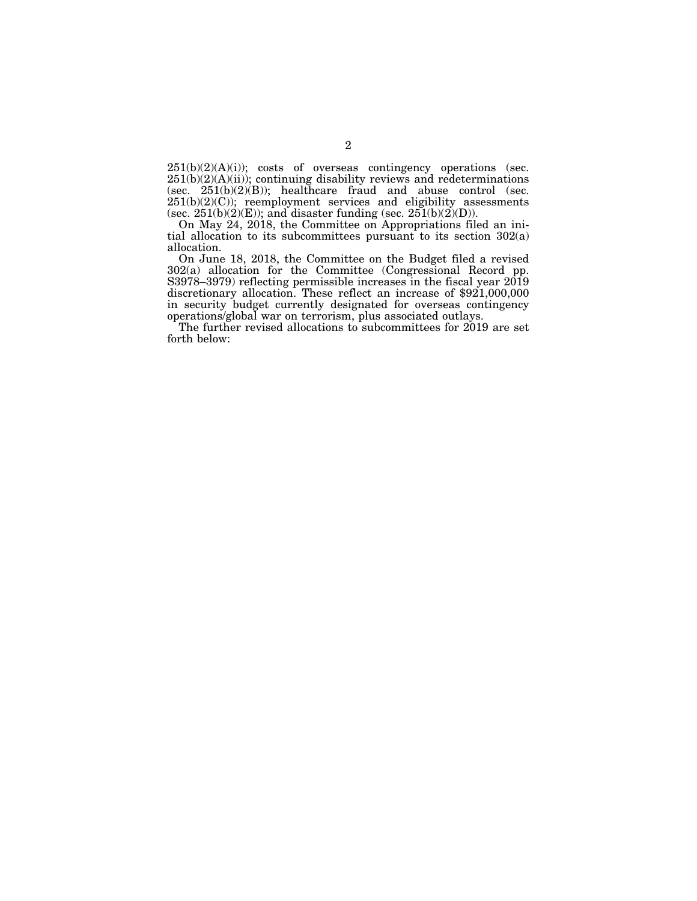251(b)(2)(A)(i)); costs of overseas contingency operations (sec.  $251(b)(2)(A)(ii)$ ; continuing disability reviews and redeterminations (sec.  $251(b)(2)(B)$ ); healthcare fraud and abuse control (sec. 251(b)(2)(C)); reemployment services and eligibility assessments (sec. 251(b)(2)(E)); and disaster funding (sec. 251(b)(2)(D)).

On May 24, 2018, the Committee on Appropriations filed an initial allocation to its subcommittees pursuant to its section 302(a) allocation.

On June 18, 2018, the Committee on the Budget filed a revised 302(a) allocation for the Committee (Congressional Record pp. S3978–3979) reflecting permissible increases in the fiscal year 2019 discretionary allocation. These reflect an increase of \$921,000,000 in security budget currently designated for overseas contingency operations/global war on terrorism, plus associated outlays.

The further revised allocations to subcommittees for 2019 are set forth below: